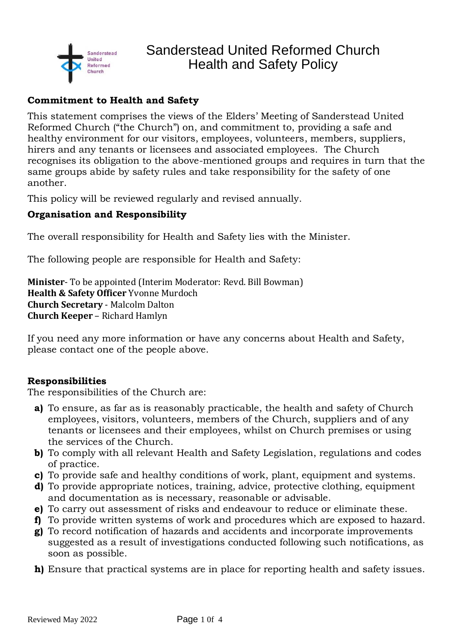

## **Commitment to Health and Safety**

This statement comprises the views of the Elders' Meeting of Sanderstead United Reformed Church ("the Church") on, and commitment to, providing a safe and healthy environment for our visitors, employees, volunteers, members, suppliers, hirers and any tenants or licensees and associated employees. The Church recognises its obligation to the above-mentioned groups and requires in turn that the same groups abide by safety rules and take responsibility for the safety of one another.

This policy will be reviewed regularly and revised annually.

## **Organisation and Responsibility**

The overall responsibility for Health and Safety lies with the Minister.

The following people are responsible for Health and Safety:

**Minister**- To be appointed (Interim Moderator: Revd. Bill Bowman) **Health & Safety Officer** Yvonne Murdoch **Church Secretary** - Malcolm Dalton **Church Keeper** – Richard Hamlyn

If you need any more information or have any concerns about Health and Safety, please contact one of the people above.

## **Responsibilities**

The responsibilities of the Church are:

- **a)** To ensure, as far as is reasonably practicable, the health and safety of Church employees, visitors, volunteers, members of the Church, suppliers and of any tenants or licensees and their employees, whilst on Church premises or using the services of the Church.
- **b)** To comply with all relevant Health and Safety Legislation, regulations and codes of practice.
- **c)** To provide safe and healthy conditions of work, plant, equipment and systems.
- **d)** To provide appropriate notices, training, advice, protective clothing, equipment and documentation as is necessary, reasonable or advisable.
- **e)** To carry out assessment of risks and endeavour to reduce or eliminate these.
- **f)** To provide written systems of work and procedures which are exposed to hazard.
- **g)** To record notification of hazards and accidents and incorporate improvements suggested as a result of investigations conducted following such notifications, as soon as possible.
- **h)** Ensure that practical systems are in place for reporting health and safety issues.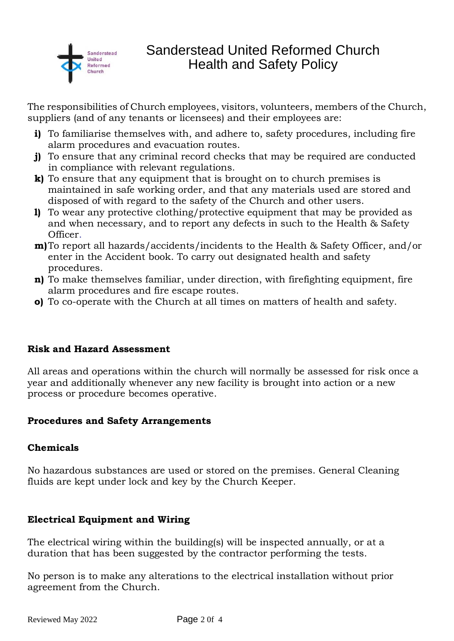

# Sanderstead United Reformed Church Health and Safety Policy

The responsibilities of Church employees, visitors, volunteers, members of the Church, suppliers (and of any tenants or licensees) and their employees are:

- **i)** To familiarise themselves with, and adhere to, safety procedures, including fire alarm procedures and evacuation routes.
- **j)** To ensure that any criminal record checks that may be required are conducted in compliance with relevant regulations.
- **k)** To ensure that any equipment that is brought on to church premises is maintained in safe working order, and that any materials used are stored and disposed of with regard to the safety of the Church and other users.
- **l)** To wear any protective clothing/protective equipment that may be provided as and when necessary, and to report any defects in such to the Health & Safety Officer.
- **m)**To report all hazards/accidents/incidents to the Health & Safety Officer, and/or enter in the Accident book. To carry out designated health and safety procedures.
- **n)** To make themselves familiar, under direction, with firefighting equipment, fire alarm procedures and fire escape routes.
- **o)** To co-operate with the Church at all times on matters of health and safety.

## **Risk and Hazard Assessment**

All areas and operations within the church will normally be assessed for risk once a year and additionally whenever any new facility is brought into action or a new process or procedure becomes operative.

## **Procedures and Safety Arrangements**

#### **Chemicals**

No hazardous substances are used or stored on the premises. General Cleaning fluids are kept under lock and key by the Church Keeper.

## **Electrical Equipment and Wiring**

The electrical wiring within the building(s) will be inspected annually, or at a duration that has been suggested by the contractor performing the tests.

No person is to make any alterations to the electrical installation without prior agreement from the Church.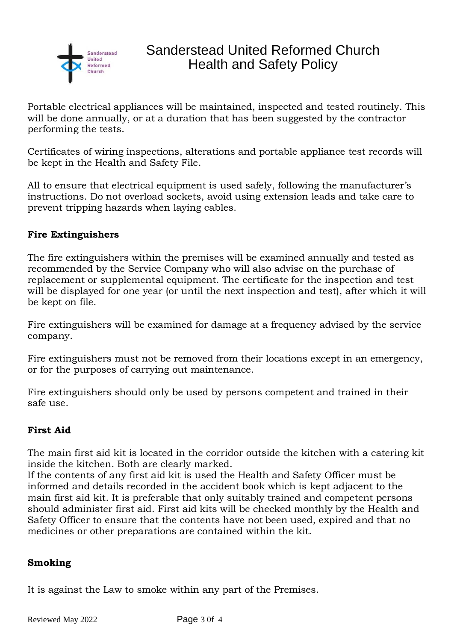

Portable electrical appliances will be maintained, inspected and tested routinely. This will be done annually, or at a duration that has been suggested by the contractor performing the tests.

Certificates of wiring inspections, alterations and portable appliance test records will be kept in the Health and Safety File.

All to ensure that electrical equipment is used safely, following the manufacturer's instructions. Do not overload sockets, avoid using extension leads and take care to prevent tripping hazards when laying cables.

#### **Fire Extinguishers**

The fire extinguishers within the premises will be examined annually and tested as recommended by the Service Company who will also advise on the purchase of replacement or supplemental equipment. The certificate for the inspection and test will be displayed for one year (or until the next inspection and test), after which it will be kept on file.

Fire extinguishers will be examined for damage at a frequency advised by the service company.

Fire extinguishers must not be removed from their locations except in an emergency, or for the purposes of carrying out maintenance.

Fire extinguishers should only be used by persons competent and trained in their safe use.

## **First Aid**

The main first aid kit is located in the corridor outside the kitchen with a catering kit inside the kitchen. Both are clearly marked.

If the contents of any first aid kit is used the Health and Safety Officer must be informed and details recorded in the accident book which is kept adjacent to the main first aid kit. It is preferable that only suitably trained and competent persons should administer first aid. First aid kits will be checked monthly by the Health and Safety Officer to ensure that the contents have not been used, expired and that no medicines or other preparations are contained within the kit.

#### **Smoking**

It is against the Law to smoke within any part of the Premises.